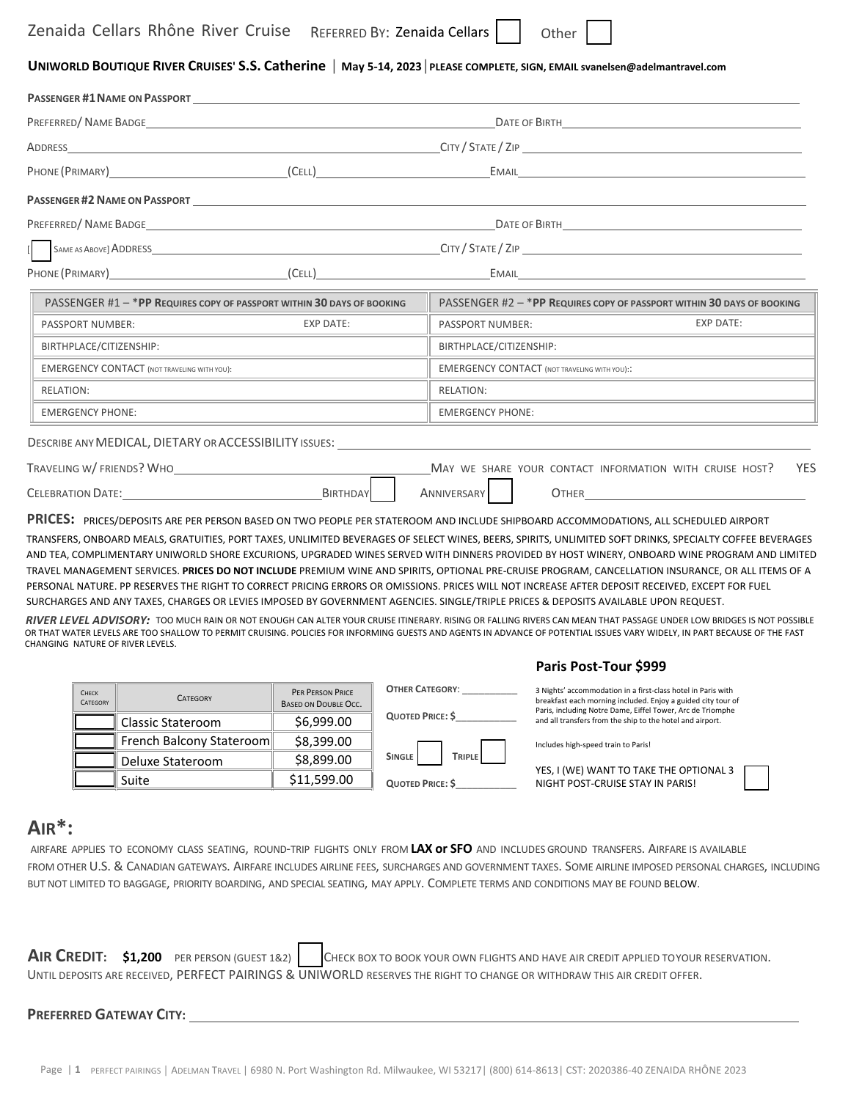# UNIWORLD BOUTIQUE RIVER CRUISES' S.S. Catherine | May 5-14, 2023 | PLEASE COMPLETE, SIGN, EMAIL svanelsen@adelmantravel.com

|                                                                                                                                                                                                                                |                                                                                                                                                                                                                                                                                                                            |                                                        |  |                                                     |                           | DATE OF BIRTH <b>EXECUTE A SERVE THE SERVE THE SERVE THE SERVE THE SERVE THE SERVE THE SERVE THE SERVE THE SERVE</b>                                                                                                                                                                                                                                                                                                                                                                                                                                                                                                                                                                                                                                                                                                |
|--------------------------------------------------------------------------------------------------------------------------------------------------------------------------------------------------------------------------------|----------------------------------------------------------------------------------------------------------------------------------------------------------------------------------------------------------------------------------------------------------------------------------------------------------------------------|--------------------------------------------------------|--|-----------------------------------------------------|---------------------------|---------------------------------------------------------------------------------------------------------------------------------------------------------------------------------------------------------------------------------------------------------------------------------------------------------------------------------------------------------------------------------------------------------------------------------------------------------------------------------------------------------------------------------------------------------------------------------------------------------------------------------------------------------------------------------------------------------------------------------------------------------------------------------------------------------------------|
| ADDRESS CONTROL CONTROL CONTROL CONTROL CONTROL CONTROL CONTROL CONTROL CONTROL CONTROL CONTROL CONTROL CONTROL CONTROL CONTROL CONTROL CONTROL CONTROL CONTROL CONTROL CONTROL CONTROL CONTROL CONTROL CONTROL CONTROL CONTRO |                                                                                                                                                                                                                                                                                                                            |                                                        |  |                                                     |                           |                                                                                                                                                                                                                                                                                                                                                                                                                                                                                                                                                                                                                                                                                                                                                                                                                     |
| PHONE (PRIMARY) (CELL)                                                                                                                                                                                                         |                                                                                                                                                                                                                                                                                                                            |                                                        |  |                                                     | EMAIL <b>Example 2008</b> |                                                                                                                                                                                                                                                                                                                                                                                                                                                                                                                                                                                                                                                                                                                                                                                                                     |
|                                                                                                                                                                                                                                | PASSENGER #2 NAME ON PASSPORT <b>And A SET AND A SET A SET A SET AND A SET A</b>                                                                                                                                                                                                                                           |                                                        |  |                                                     |                           |                                                                                                                                                                                                                                                                                                                                                                                                                                                                                                                                                                                                                                                                                                                                                                                                                     |
|                                                                                                                                                                                                                                |                                                                                                                                                                                                                                                                                                                            |                                                        |  |                                                     |                           |                                                                                                                                                                                                                                                                                                                                                                                                                                                                                                                                                                                                                                                                                                                                                                                                                     |
|                                                                                                                                                                                                                                |                                                                                                                                                                                                                                                                                                                            |                                                        |  |                                                     |                           |                                                                                                                                                                                                                                                                                                                                                                                                                                                                                                                                                                                                                                                                                                                                                                                                                     |
|                                                                                                                                                                                                                                | PHONE (PRIMARY) (CELL)                                                                                                                                                                                                                                                                                                     |                                                        |  | EMAIL <b>Example 2008</b>                           |                           |                                                                                                                                                                                                                                                                                                                                                                                                                                                                                                                                                                                                                                                                                                                                                                                                                     |
|                                                                                                                                                                                                                                | PASSENGER #1 - * PP REQUIRES COPY OF PASSPORT WITHIN 30 DAYS OF BOOKING                                                                                                                                                                                                                                                    |                                                        |  |                                                     |                           | PASSENGER #2 - * PP REQUIRES COPY OF PASSPORT WITHIN 30 DAYS OF BOOKING                                                                                                                                                                                                                                                                                                                                                                                                                                                                                                                                                                                                                                                                                                                                             |
|                                                                                                                                                                                                                                | <b>EXP DATE:</b><br><b>PASSPORT NUMBER:</b>                                                                                                                                                                                                                                                                                |                                                        |  | <b>EXP DATE:</b><br>PASSPORT NUMBER:                |                           |                                                                                                                                                                                                                                                                                                                                                                                                                                                                                                                                                                                                                                                                                                                                                                                                                     |
|                                                                                                                                                                                                                                | BIRTHPLACE/CITIZENSHIP:                                                                                                                                                                                                                                                                                                    |                                                        |  | BIRTHPLACE/CITIZENSHIP:                             |                           |                                                                                                                                                                                                                                                                                                                                                                                                                                                                                                                                                                                                                                                                                                                                                                                                                     |
|                                                                                                                                                                                                                                | <b>EMERGENCY CONTACT (NOT TRAVELING WITH YOU):</b>                                                                                                                                                                                                                                                                         |                                                        |  | <b>EMERGENCY CONTACT (NOT TRAVELING WITH YOU)::</b> |                           |                                                                                                                                                                                                                                                                                                                                                                                                                                                                                                                                                                                                                                                                                                                                                                                                                     |
| <b>RELATION:</b>                                                                                                                                                                                                               |                                                                                                                                                                                                                                                                                                                            |                                                        |  | <b>RELATION:</b>                                    |                           |                                                                                                                                                                                                                                                                                                                                                                                                                                                                                                                                                                                                                                                                                                                                                                                                                     |
|                                                                                                                                                                                                                                | <b>EMERGENCY PHONE:</b>                                                                                                                                                                                                                                                                                                    |                                                        |  | <b>EMERGENCY PHONE:</b>                             |                           |                                                                                                                                                                                                                                                                                                                                                                                                                                                                                                                                                                                                                                                                                                                                                                                                                     |
|                                                                                                                                                                                                                                | DESCRIBE ANY MEDICAL, DIETARY OR ACCESSIBILITY ISSUES:                                                                                                                                                                                                                                                                     |                                                        |  |                                                     |                           |                                                                                                                                                                                                                                                                                                                                                                                                                                                                                                                                                                                                                                                                                                                                                                                                                     |
|                                                                                                                                                                                                                                | TRAVELING W/ FRIENDS? WHO                                                                                                                                                                                                                                                                                                  |                                                        |  |                                                     |                           | <b>YES</b><br>MAY WE SHARE YOUR CONTACT INFORMATION WITH CRUISE HOST?                                                                                                                                                                                                                                                                                                                                                                                                                                                                                                                                                                                                                                                                                                                                               |
| CELEBRATION DATE: BIRTHDAY                                                                                                                                                                                                     |                                                                                                                                                                                                                                                                                                                            |                                                        |  | ANNIVERSARY                                         |                           | OTHER <b>OTHER</b>                                                                                                                                                                                                                                                                                                                                                                                                                                                                                                                                                                                                                                                                                                                                                                                                  |
|                                                                                                                                                                                                                                | PRICES: PRICES/DEPOSITS ARE PER PERSON BASED ON TWO PEOPLE PER STATEROOM AND INCLUDE SHIPBOARD ACCOMMODATIONS, ALL SCHEDULED AIRPORT                                                                                                                                                                                       |                                                        |  |                                                     |                           |                                                                                                                                                                                                                                                                                                                                                                                                                                                                                                                                                                                                                                                                                                                                                                                                                     |
|                                                                                                                                                                                                                                | PERSONAL NATURE. PP RESERVES THE RIGHT TO CORRECT PRICING ERRORS OR OMISSIONS. PRICES WILL NOT INCREASE AFTER DEPOSIT RECEIVED, EXCEPT FOR FUEL<br>SURCHARGES AND ANY TAXES, CHARGES OR LEVIES IMPOSED BY GOVERNMENT AGENCIES. SINGLE/TRIPLE PRICES & DEPOSITS AVAILABLE UPON REQUEST.<br>CHANGING NATURE OF RIVER LEVELS. |                                                        |  |                                                     | Paris Post-Tour \$999     | TRANSFERS, ONBOARD MEALS, GRATUITIES, PORT TAXES, UNLIMITED BEVERAGES OF SELECT WINES, BEERS, SPIRITS, UNLIMITED SOFT DRINKS, SPECIALTY COFFEE BEVERAGES<br>AND TEA, COMPLIMENTARY UNIWORLD SHORE EXCURIONS, UPGRADED WINES SERVED WITH DINNERS PROVIDED BY HOST WINERY, ONBOARD WINE PROGRAM AND LIMITED<br>TRAVEL MANAGEMENT SERVICES. PRICES DO NOT INCLUDE PREMIUM WINE AND SPIRITS, OPTIONAL PRE-CRUISE PROGRAM, CANCELLATION INSURANCE, OR ALL ITEMS OF A<br>RIVER LEVEL ADVISORY: TOO MUCH RAIN OR NOT ENOUGH CAN ALTER YOUR CRUISE ITINERARY. RISING OR FALLING RIVERS CAN MEAN THAT PASSAGE UNDER LOW BRIDGES IS NOT POSSIBLE<br>OR THAT WATER LEVELS ARE TOO SHALLOW TO PERMIT CRUISING. POLICIES FOR INFORMING GUESTS AND AGENTS IN ADVANCE OF POTENTIAL ISSUES VARY WIDELY, IN PART BECAUSE OF THE FAST |
|                                                                                                                                                                                                                                | CHECK<br><b>CATEGORY</b><br>CATEGORY                                                                                                                                                                                                                                                                                       | <b>PER PERSON PRICE</b><br><b>BASED ON DOUBLE OCC.</b> |  | <b>OTHER CATEGORY:</b>                              |                           | 3 Nights' accommodation in a first-class hotel in Paris with<br>breakfast each morning included. Enjoy a guided city tour of                                                                                                                                                                                                                                                                                                                                                                                                                                                                                                                                                                                                                                                                                        |

| <b>CHECK</b><br>CATEGORY | <b>CATFGORY</b>          | <b>PER PERSON PRICE</b><br><b>BASED ON DOUBLE OCC.</b> | <b>OTHER CATEGORY:</b>  | 3 Nights' accommodation in a first-class hotel in Paris with<br>breakfast each morning included. Enjoy a guided city tour of<br>Paris, including Notre Dame, Eiffel Tower, Arc de Triomphe |
|--------------------------|--------------------------|--------------------------------------------------------|-------------------------|--------------------------------------------------------------------------------------------------------------------------------------------------------------------------------------------|
|                          | Classic Stateroom        | \$6,999.00                                             | <b>QUOTED PRICE: \$</b> | and all transfers from the ship to the hotel and airport.                                                                                                                                  |
|                          | French Balcony Stateroom | \$8,399.00                                             |                         | Includes high-speed train to Paris!                                                                                                                                                        |
|                          | Deluxe Stateroom         | \$8,899.00                                             | <b>TRIPLE</b><br>SINGLE | YES, I (WE) WANT TO TAKE THE OPTIONAL 3                                                                                                                                                    |
|                          | Suite                    | \$11,599.00                                            | QUOTED PRICE: \$        | NIGHT POST-CRUISE STAY IN PARIS!                                                                                                                                                           |

# **AIR\*:**

AIRFARE APPLIES TO ECONOMY CLASS SEATING, ROUND‐TRIP FLIGHTS ONLY FROM **LAX or SFO** AND INCLUDES GROUND TRANSFERS. AIRFARE IS AVAILABLE FROM OTHER U.S. & CANADIAN GATEWAYS. AIRFARE INCLUDES AIRLINE FEES, SURCHARGES AND GOVERNMENT TAXES. SOME AIRLINE IMPOSED PERSONAL CHARGES, INCLUDING BUT NOT LIMITED TO BAGGAGE, PRIORITY BOARDING, AND SPECIAL SEATING, MAY APPLY. COMPLETE TERMS AND CONDITIONS MAY BE FOUND BELOW.

|  |  | AIR CREDIT: \$1,200 PER PERSON (GUEST 1&2)   CHECK BOX TO BOOK YOUR OWN FLIGHTS AND HAVE AIR CREDIT APPLIED TOYOUR RESERVATION. |
|--|--|---------------------------------------------------------------------------------------------------------------------------------|
|  |  | UNTIL DEPOSITS ARE RECEIVED, PERFECT PAIRINGS & UNIWORLD RESERVES THE RIGHT TO CHANGE OR WITHDRAW THIS AIR CREDIT OFFER.        |

#### **PREFERRED GATEWAY CITY:**